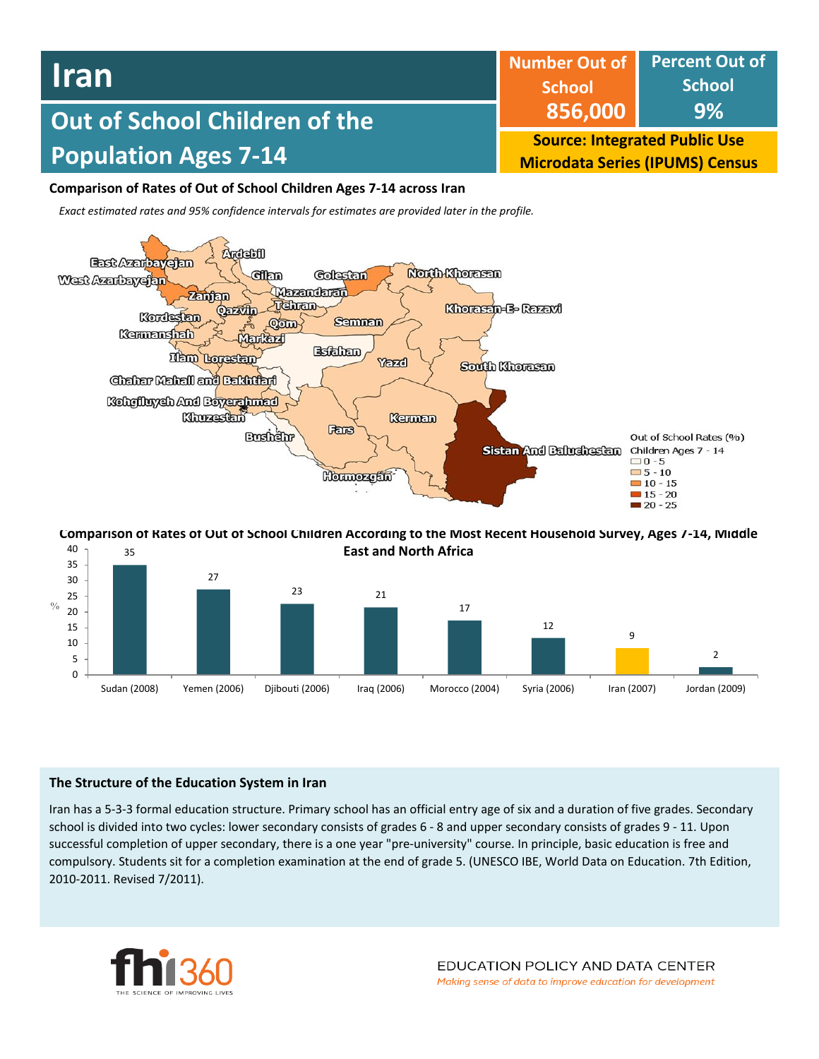

## **Comparison of Rates of Out of School Children Ages 7-14 across Iran**

*Exact estimated rates and 95% confidence intervals for estimates are provided later in the profile.* 



35 40 **Comparison of Rates of Out of School Children According to the Most Recent Household Survey, Ages 7-14, Middle East and North Africa**

![](_page_0_Figure_5.jpeg)

### **The Structure of the Education System in Iran**

Iran has a 5-3-3 formal education structure. Primary school has an official entry age of six and a duration of five grades. Secondary school is divided into two cycles: lower secondary consists of grades 6 - 8 and upper secondary consists of grades 9 - 11. Upon successful completion of upper secondary, there is a one year "pre-university" course. In principle, basic education is free and compulsory. Students sit for a completion examination at the end of grade 5. (UNESCO IBE, World Data on Education. 7th Edition, 2010-2011. Revised 7/2011).

![](_page_0_Picture_8.jpeg)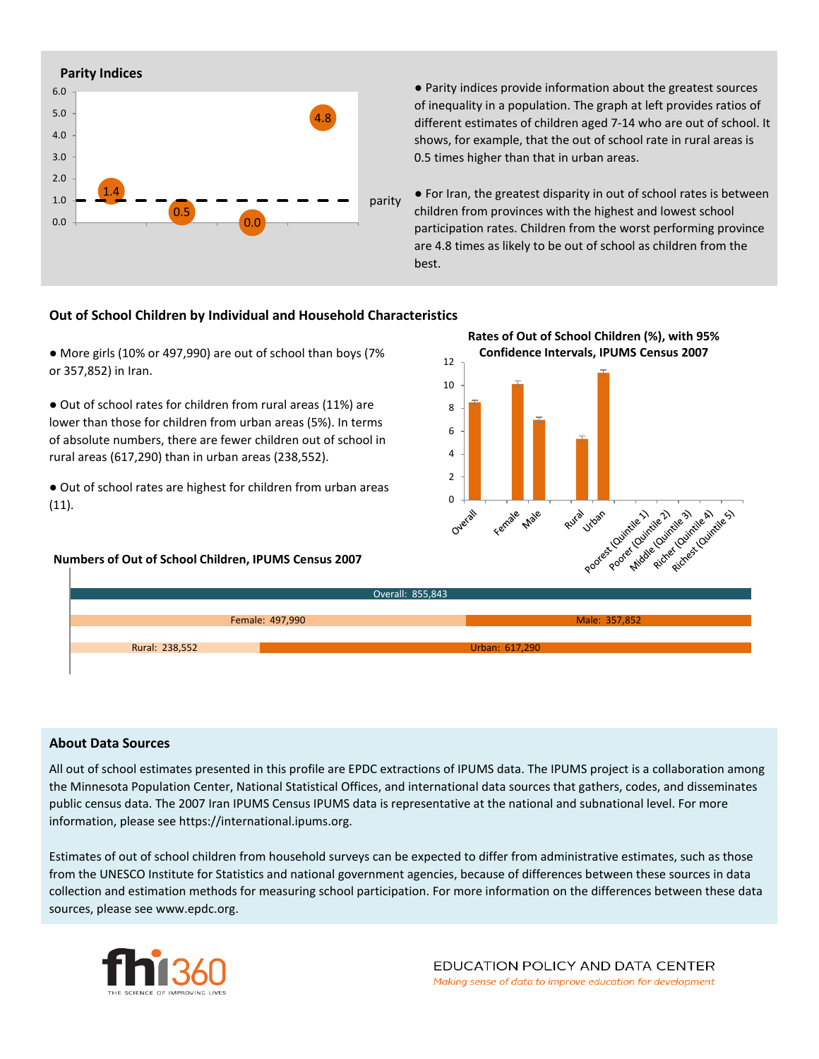![](_page_1_Figure_0.jpeg)

● Parity indices provide information about the greatest sources of inequality in a population. The graph at left provides ratios of different estimates of children aged 7-14 who are out of school. It shows, for example, that the out of school rate in rural areas is 0.5 times higher than that in urban areas.

● For Iran, the greatest disparity in out of school rates is between children from provinces with the highest and lowest school participation rates. Children from the worst performing province are 4.8 times as likely to be out of school as children from the best.

## **Out of School Children by Individual and Household Characteristics**

● More girls (10% or 497,990) are out of school than boys (7% or 357,852) in Iran.

● Out of school rates for children from rural areas (11%) are lower than those for children from urban areas (5%). In terms of absolute numbers, there are fewer children out of school in rural areas (617,290) than in urban areas (238,552).

● Out of school rates are highest for children from urban areas (11).

### **Numbers of Out of School Children, IPUMS Census 2007**

![](_page_1_Figure_8.jpeg)

![](_page_1_Figure_9.jpeg)

### **About Data Sources**

All out of school estimates presented in this profile are EPDC extractions of IPUMS data. The IPUMS project is a collaboration among the Minnesota Population Center, National Statistical Offices, and international data sources that gathers, codes, and disseminates public census data. The 2007 Iran IPUMS Census IPUMS data is representative at the national and subnational level. For more information, please see https://international.ipums.org.

Estimates of out of school children from household surveys can be expected to differ from administrative estimates, such as those from the UNESCO Institute for Statistics and national government agencies, because of differences between these sources in data collection and estimation methods for measuring school participation. For more information on the differences between these data sources, please see www.epdc.org.

![](_page_1_Picture_13.jpeg)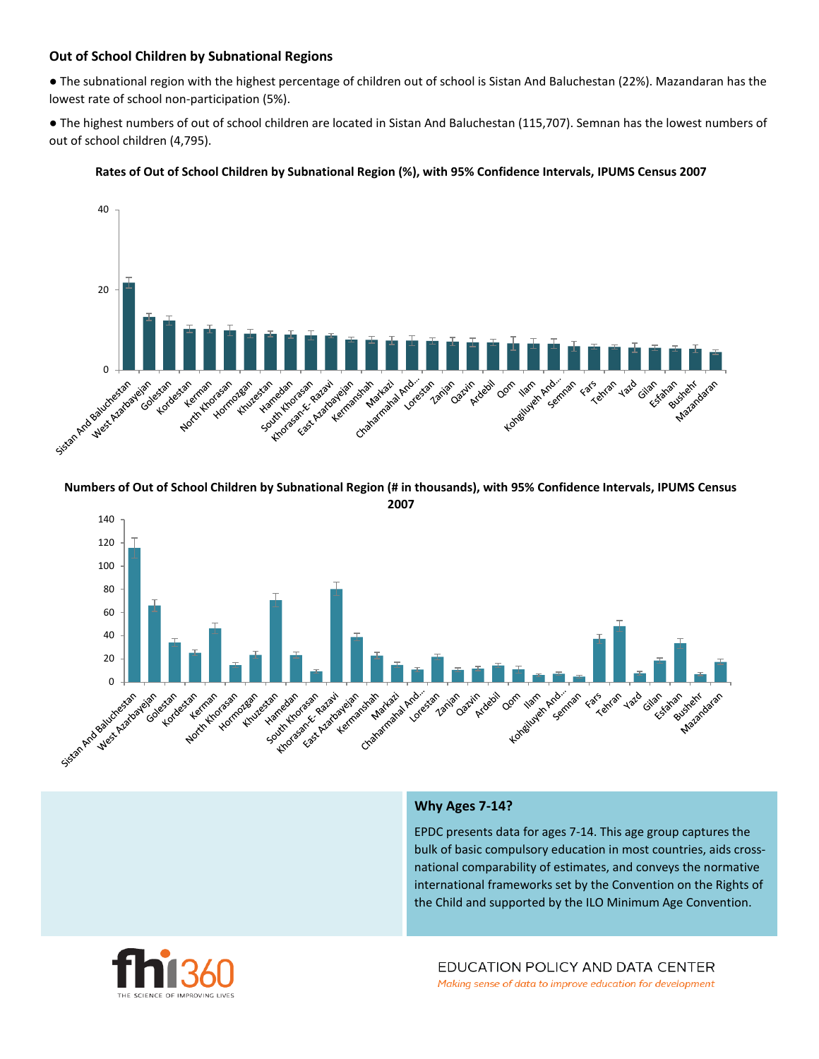## **Out of School Children by Subnational Regions**

● The subnational region with the highest percentage of children out of school is Sistan And Baluchestan (22%). Mazandaran has the lowest rate of school non-participation (5%).

● The highest numbers of out of school children are located in Sistan And Baluchestan (115,707). Semnan has the lowest numbers of out of school children (4,795).

![](_page_2_Figure_3.jpeg)

**Rates of Out of School Children by Subnational Region (%), with 95% Confidence Intervals, IPUMS Census 2007**

**Numbers of Out of School Children by Subnational Region (# in thousands), with 95% Confidence Intervals, IPUMS Census 2007**

![](_page_2_Figure_6.jpeg)

### **Why Ages 7-14?**

EPDC presents data for ages 7-14. This age group captures the bulk of basic compulsory education in most countries, aids crossnational comparability of estimates, and conveys the normative international frameworks set by the Convention on the Rights of the Child and supported by the ILO Minimum Age Convention.

![](_page_2_Picture_9.jpeg)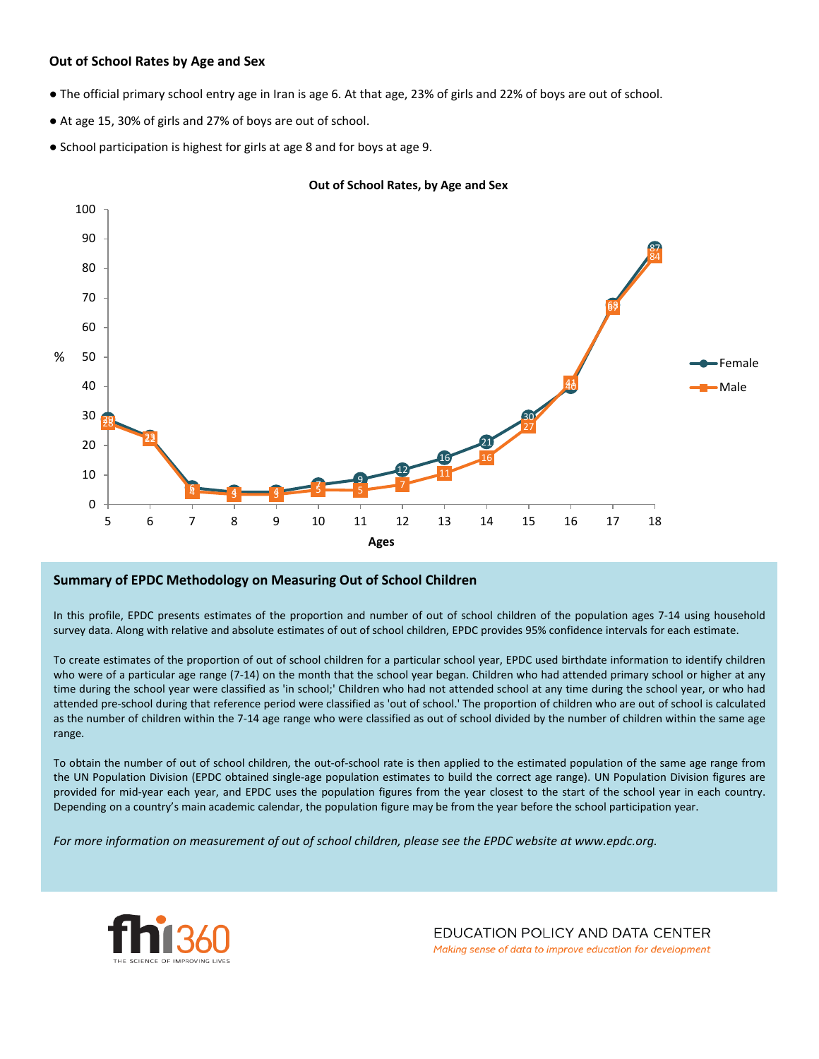## **Out of School Rates by Age and Sex**

- The official primary school entry age in Iran is age 6. At that age, 23% of girls and 22% of boys are out of school.
- At age 15, 30% of girls and 27% of boys are out of school.
- School participation is highest for girls at age 8 and for boys at age 9.

![](_page_3_Figure_4.jpeg)

#### **Out of School Rates, by Age and Sex**

### **Summary of EPDC Methodology on Measuring Out of School Children**

In this profile, EPDC presents estimates of the proportion and number of out of school children of the population ages 7-14 using household survey data. Along with relative and absolute estimates of out of school children, EPDC provides 95% confidence intervals for each estimate.

To create estimates of the proportion of out of school children for a particular school year, EPDC used birthdate information to identify children who were of a particular age range (7-14) on the month that the school year began. Children who had attended primary school or higher at any time during the school year were classified as 'in school;' Children who had not attended school at any time during the school year, or who had attended pre-school during that reference period were classified as 'out of school.' The proportion of children who are out of school is calculated as the number of children within the 7-14 age range who were classified as out of school divided by the number of children within the same age range.

To obtain the number of out of school children, the out-of-school rate is then applied to the estimated population of the same age range from the UN Population Division (EPDC obtained single-age population estimates to build the correct age range). UN Population Division figures are provided for mid-year each year, and EPDC uses the population figures from the year closest to the start of the school year in each country. Depending on a country's main academic calendar, the population figure may be from the year before the school participation year.

For more information on measurement of out of school children, please see the EPDC website at www.epdc.org.

![](_page_3_Picture_11.jpeg)

EDUCATION POLICY AND DATA CENTER Making sense of data to improve education for development